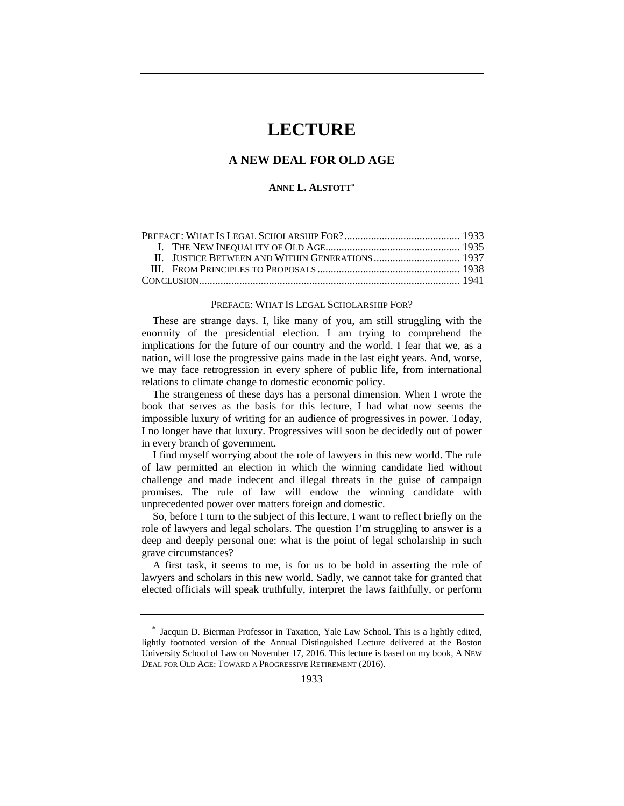# **LECTURE**

# **A NEW DEAL FOR OLD AGE**

### **ANNE L. ALSTOTT**

#### PREFACE: WHAT IS LEGAL SCHOLARSHIP FOR?

These are strange days. I, like many of you, am still struggling with the enormity of the presidential election. I am trying to comprehend the implications for the future of our country and the world. I fear that we, as a nation, will lose the progressive gains made in the last eight years. And, worse, we may face retrogression in every sphere of public life, from international relations to climate change to domestic economic policy.

The strangeness of these days has a personal dimension. When I wrote the book that serves as the basis for this lecture, I had what now seems the impossible luxury of writing for an audience of progressives in power. Today, I no longer have that luxury. Progressives will soon be decidedly out of power in every branch of government.

I find myself worrying about the role of lawyers in this new world. The rule of law permitted an election in which the winning candidate lied without challenge and made indecent and illegal threats in the guise of campaign promises. The rule of law will endow the winning candidate with unprecedented power over matters foreign and domestic.

So, before I turn to the subject of this lecture, I want to reflect briefly on the role of lawyers and legal scholars. The question I'm struggling to answer is a deep and deeply personal one: what is the point of legal scholarship in such grave circumstances?

A first task, it seems to me, is for us to be bold in asserting the role of lawyers and scholars in this new world. Sadly, we cannot take for granted that elected officials will speak truthfully, interpret the laws faithfully, or perform

Jacquin D. Bierman Professor in Taxation, Yale Law School. This is a lightly edited, lightly footnoted version of the Annual Distinguished Lecture delivered at the Boston University School of Law on November 17, 2016. This lecture is based on my book, A NEW DEAL FOR OLD AGE: TOWARD A PROGRESSIVE RETIREMENT (2016).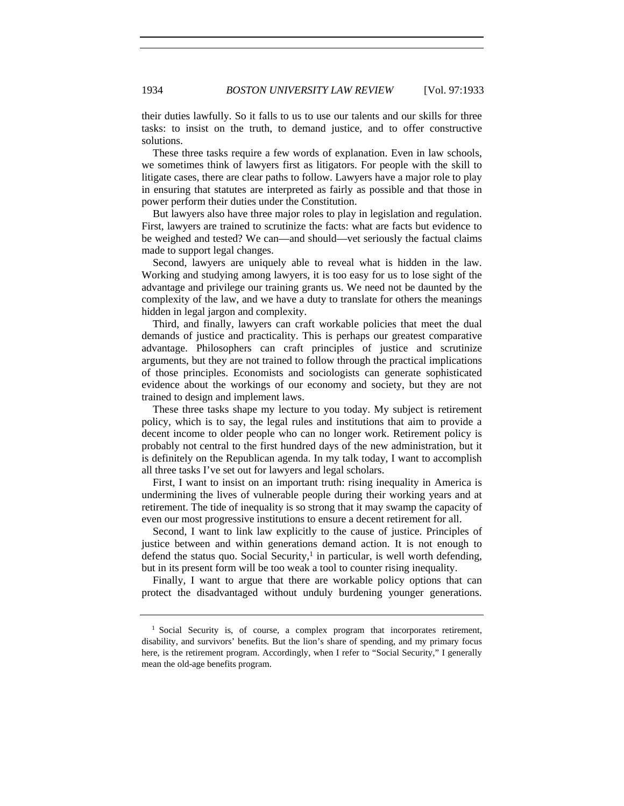their duties lawfully. So it falls to us to use our talents and our skills for three tasks: to insist on the truth, to demand justice, and to offer constructive solutions.

These three tasks require a few words of explanation. Even in law schools, we sometimes think of lawyers first as litigators. For people with the skill to litigate cases, there are clear paths to follow. Lawyers have a major role to play in ensuring that statutes are interpreted as fairly as possible and that those in power perform their duties under the Constitution.

But lawyers also have three major roles to play in legislation and regulation. First, lawyers are trained to scrutinize the facts: what are facts but evidence to be weighed and tested? We can—and should—vet seriously the factual claims made to support legal changes.

Second, lawyers are uniquely able to reveal what is hidden in the law. Working and studying among lawyers, it is too easy for us to lose sight of the advantage and privilege our training grants us. We need not be daunted by the complexity of the law, and we have a duty to translate for others the meanings hidden in legal jargon and complexity.

Third, and finally, lawyers can craft workable policies that meet the dual demands of justice and practicality. This is perhaps our greatest comparative advantage. Philosophers can craft principles of justice and scrutinize arguments, but they are not trained to follow through the practical implications of those principles. Economists and sociologists can generate sophisticated evidence about the workings of our economy and society, but they are not trained to design and implement laws.

These three tasks shape my lecture to you today. My subject is retirement policy, which is to say, the legal rules and institutions that aim to provide a decent income to older people who can no longer work. Retirement policy is probably not central to the first hundred days of the new administration, but it is definitely on the Republican agenda. In my talk today, I want to accomplish all three tasks I've set out for lawyers and legal scholars.

First, I want to insist on an important truth: rising inequality in America is undermining the lives of vulnerable people during their working years and at retirement. The tide of inequality is so strong that it may swamp the capacity of even our most progressive institutions to ensure a decent retirement for all.

Second, I want to link law explicitly to the cause of justice. Principles of justice between and within generations demand action. It is not enough to defend the status quo. Social Security, $\frac{1}{x}$  in particular, is well worth defending, but in its present form will be too weak a tool to counter rising inequality.

Finally, I want to argue that there are workable policy options that can protect the disadvantaged without unduly burdening younger generations.

<sup>&</sup>lt;sup>1</sup> Social Security is, of course, a complex program that incorporates retirement, disability, and survivors' benefits. But the lion's share of spending, and my primary focus here, is the retirement program. Accordingly, when I refer to "Social Security," I generally mean the old-age benefits program.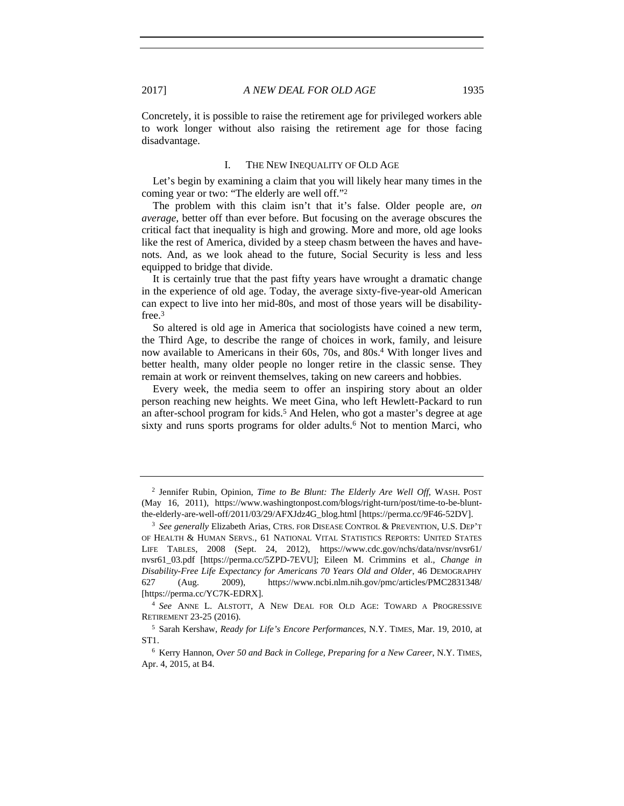Concretely, it is possible to raise the retirement age for privileged workers able to work longer without also raising the retirement age for those facing disadvantage.

#### I. THE NEW INEQUALITY OF OLD AGE

Let's begin by examining a claim that you will likely hear many times in the coming year or two: "The elderly are well off."2

The problem with this claim isn't that it's false. Older people are, *on average*, better off than ever before. But focusing on the average obscures the critical fact that inequality is high and growing. More and more, old age looks like the rest of America, divided by a steep chasm between the haves and havenots. And, as we look ahead to the future, Social Security is less and less equipped to bridge that divide.

It is certainly true that the past fifty years have wrought a dramatic change in the experience of old age. Today, the average sixty-five-year-old American can expect to live into her mid-80s, and most of those years will be disabilityfree.3

So altered is old age in America that sociologists have coined a new term, the Third Age, to describe the range of choices in work, family, and leisure now available to Americans in their 60s, 70s, and 80s.4 With longer lives and better health, many older people no longer retire in the classic sense. They remain at work or reinvent themselves, taking on new careers and hobbies.

Every week, the media seem to offer an inspiring story about an older person reaching new heights. We meet Gina, who left Hewlett-Packard to run an after-school program for kids.<sup>5</sup> And Helen, who got a master's degree at age sixty and runs sports programs for older adults.<sup>6</sup> Not to mention Marci, who

<sup>2</sup> Jennifer Rubin, Opinion, *Time to Be Blunt: The Elderly Are Well Off*, WASH. POST (May 16, 2011), https://www.washingtonpost.com/blogs/right-turn/post/time-to-be-bluntthe-elderly-are-well-off/2011/03/29/AFXJdz4G\_blog.html [https://perma.cc/9F46-52DV]. 3 *See generally* Elizabeth Arias, CTRS. FOR DISEASE CONTROL & PREVENTION, U.S. DEP'T

OF HEALTH & HUMAN SERVS., 61 NATIONAL VITAL STATISTICS REPORTS: UNITED STATES LIFE TABLES, 2008 (Sept. 24, 2012), https://www.cdc.gov/nchs/data/nvsr/nvsr61/ nvsr61\_03.pdf [https://perma.cc/5ZPD-7EVU]; Eileen M. Crimmins et al., *Change in Disability-Free Life Expectancy for Americans 70 Years Old and Older*, 46 DEMOGRAPHY 627 (Aug. 2009), https://www.ncbi.nlm.nih.gov/pmc/articles/PMC2831348/ [https://perma.cc/YC7K-EDRX]. 4 *See* ANNE L. ALSTOTT, <sup>A</sup> NEW DEAL FOR OLD AGE: TOWARD A PROGRESSIVE

RETIREMENT 23-25 (2016).

<sup>5</sup> Sarah Kershaw, *Ready for Life's Encore Performances*, N.Y. TIMES, Mar. 19, 2010, at ST1.

<sup>6</sup> Kerry Hannon, *Over 50 and Back in College, Preparing for a New Career*, N.Y. TIMES, Apr. 4, 2015, at B4.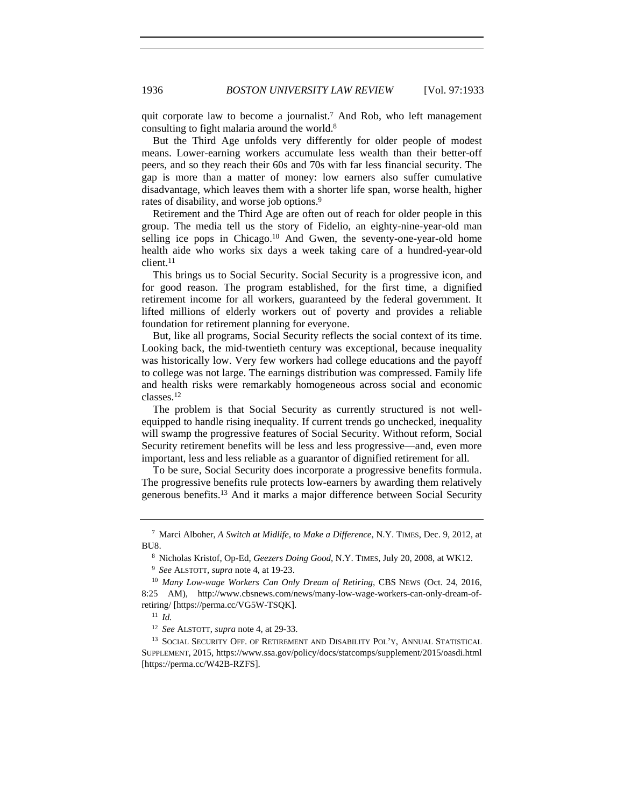quit corporate law to become a journalist.<sup>7</sup> And Rob, who left management consulting to fight malaria around the world.8

But the Third Age unfolds very differently for older people of modest means. Lower-earning workers accumulate less wealth than their better-off peers, and so they reach their 60s and 70s with far less financial security. The gap is more than a matter of money: low earners also suffer cumulative disadvantage, which leaves them with a shorter life span, worse health, higher rates of disability, and worse job options.9

Retirement and the Third Age are often out of reach for older people in this group. The media tell us the story of Fidelio, an eighty-nine-year-old man selling ice pops in Chicago.<sup>10</sup> And Gwen, the seventy-one-year-old home health aide who works six days a week taking care of a hundred-year-old client.11

This brings us to Social Security. Social Security is a progressive icon, and for good reason. The program established, for the first time, a dignified retirement income for all workers, guaranteed by the federal government. It lifted millions of elderly workers out of poverty and provides a reliable foundation for retirement planning for everyone.

But, like all programs, Social Security reflects the social context of its time. Looking back, the mid-twentieth century was exceptional, because inequality was historically low. Very few workers had college educations and the payoff to college was not large. The earnings distribution was compressed. Family life and health risks were remarkably homogeneous across social and economic classes.12

The problem is that Social Security as currently structured is not wellequipped to handle rising inequality. If current trends go unchecked, inequality will swamp the progressive features of Social Security. Without reform, Social Security retirement benefits will be less and less progressive—and, even more important, less and less reliable as a guarantor of dignified retirement for all.

To be sure, Social Security does incorporate a progressive benefits formula. The progressive benefits rule protects low-earners by awarding them relatively generous benefits.13 And it marks a major difference between Social Security

<sup>7</sup> Marci Alboher, *A Switch at Midlife, to Make a Difference*, N.Y. TIMES, Dec. 9, 2012, at BU8.

<sup>8</sup> Nicholas Kristof, Op-Ed, *Geezers Doing Good*, N.Y. TIMES, July 20, 2008, at WK12.

<sup>&</sup>lt;sup>9</sup> *See* ALSTOTT, *supra* note 4, at 19-23.<br><sup>10</sup> *Many Low-wage Workers Can Only Dream of Retiring*, CBS NEWS (Oct. 24, 2016, 8:25 AM), http://www.cbsnews.com/news/many-low-wage-workers-can-only-dream-ofretiring/ [https://perma.cc/VG5W-TSQK].

<sup>11</sup> *Id.*

<sup>12</sup> *See* ALSTOTT, *supra* note 4, at 29-33.

<sup>&</sup>lt;sup>13</sup> SOCIAL SECURITY OFF. OF RETIREMENT AND DISABILITY POL'Y, ANNUAL STATISTICAL SUPPLEMENT, 2015, https://www.ssa.gov/policy/docs/statcomps/supplement/2015/oasdi.html [https://perma.cc/W42B-RZFS].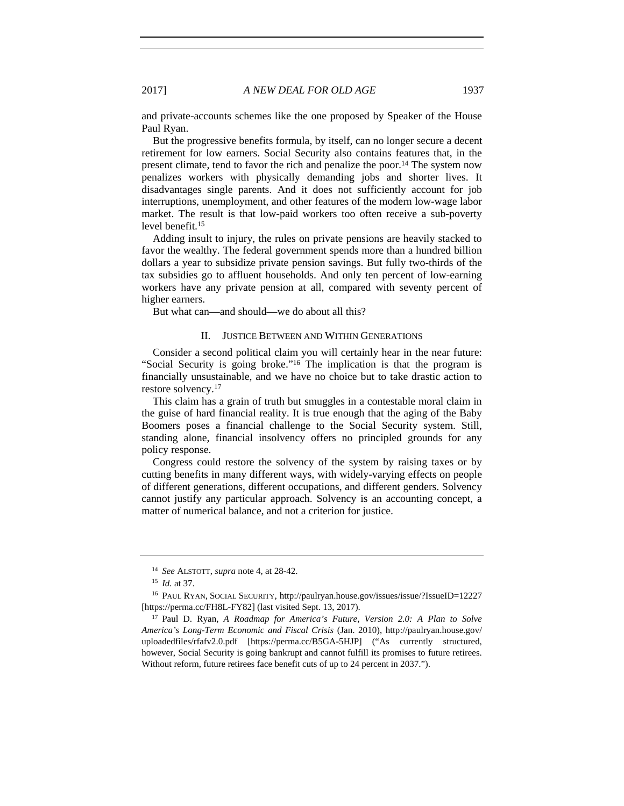and private-accounts schemes like the one proposed by Speaker of the House Paul Ryan.

But the progressive benefits formula, by itself, can no longer secure a decent retirement for low earners. Social Security also contains features that, in the present climate, tend to favor the rich and penalize the poor.14 The system now penalizes workers with physically demanding jobs and shorter lives. It disadvantages single parents. And it does not sufficiently account for job interruptions, unemployment, and other features of the modern low-wage labor market. The result is that low-paid workers too often receive a sub-poverty level benefit.15

Adding insult to injury, the rules on private pensions are heavily stacked to favor the wealthy. The federal government spends more than a hundred billion dollars a year to subsidize private pension savings. But fully two-thirds of the tax subsidies go to affluent households. And only ten percent of low-earning workers have any private pension at all, compared with seventy percent of higher earners.

But what can—and should—we do about all this?

# II. JUSTICE BETWEEN AND WITHIN GENERATIONS

Consider a second political claim you will certainly hear in the near future: "Social Security is going broke."16 The implication is that the program is financially unsustainable, and we have no choice but to take drastic action to restore solvency.17

This claim has a grain of truth but smuggles in a contestable moral claim in the guise of hard financial reality. It is true enough that the aging of the Baby Boomers poses a financial challenge to the Social Security system. Still, standing alone, financial insolvency offers no principled grounds for any policy response.

Congress could restore the solvency of the system by raising taxes or by cutting benefits in many different ways, with widely-varying effects on people of different generations, different occupations, and different genders. Solvency cannot justify any particular approach. Solvency is an accounting concept, a matter of numerical balance, and not a criterion for justice.

<sup>14</sup> *See* ALSTOTT, *supra* note 4, at 28-42.

<sup>15</sup> *Id.* at 37.

<sup>&</sup>lt;sup>16</sup> PAUL RYAN, SOCIAL SECURITY, http://paulryan.house.gov/issues/issue/?IssueID=12227 [https://perma.cc/FH8L-FY82] (last visited Sept. 13, 2017).

<sup>17</sup> Paul D. Ryan, *A Roadmap for America's Future, Version 2.0: A Plan to Solve America's Long-Term Economic and Fiscal Crisis* (Jan. 2010), http://paulryan.house.gov/ uploadedfiles/rfafv2.0.pdf [https://perma.cc/B5GA-5HJP] ("As currently structured, however, Social Security is going bankrupt and cannot fulfill its promises to future retirees. Without reform, future retirees face benefit cuts of up to 24 percent in 2037.").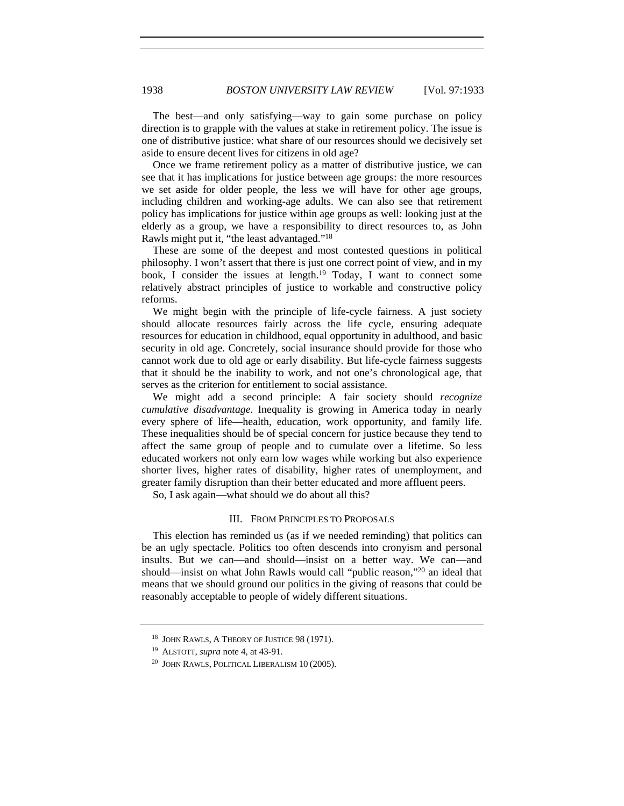The best—and only satisfying—way to gain some purchase on policy direction is to grapple with the values at stake in retirement policy. The issue is one of distributive justice: what share of our resources should we decisively set aside to ensure decent lives for citizens in old age?

Once we frame retirement policy as a matter of distributive justice, we can see that it has implications for justice between age groups: the more resources we set aside for older people, the less we will have for other age groups, including children and working-age adults. We can also see that retirement policy has implications for justice within age groups as well: looking just at the elderly as a group, we have a responsibility to direct resources to, as John Rawls might put it, "the least advantaged."18

These are some of the deepest and most contested questions in political philosophy. I won't assert that there is just one correct point of view, and in my book, I consider the issues at length.19 Today, I want to connect some relatively abstract principles of justice to workable and constructive policy reforms.

We might begin with the principle of life-cycle fairness. A just society should allocate resources fairly across the life cycle, ensuring adequate resources for education in childhood, equal opportunity in adulthood, and basic security in old age. Concretely, social insurance should provide for those who cannot work due to old age or early disability. But life-cycle fairness suggests that it should be the inability to work, and not one's chronological age, that serves as the criterion for entitlement to social assistance.

We might add a second principle: A fair society should *recognize cumulative disadvantage*. Inequality is growing in America today in nearly every sphere of life—health, education, work opportunity, and family life. These inequalities should be of special concern for justice because they tend to affect the same group of people and to cumulate over a lifetime. So less educated workers not only earn low wages while working but also experience shorter lives, higher rates of disability, higher rates of unemployment, and greater family disruption than their better educated and more affluent peers.

So, I ask again—what should we do about all this?

# III. FROM PRINCIPLES TO PROPOSALS

This election has reminded us (as if we needed reminding) that politics can be an ugly spectacle. Politics too often descends into cronyism and personal insults. But we can—and should—insist on a better way. We can—and should—insist on what John Rawls would call "public reason,"20 an ideal that means that we should ground our politics in the giving of reasons that could be reasonably acceptable to people of widely different situations.

<sup>18</sup> JOHN RAWLS, A THEORY OF JUSTICE 98 (1971).

<sup>19</sup> ALSTOTT, *supra* note 4, at 43-91.

<sup>20</sup> JOHN RAWLS, POLITICAL LIBERALISM 10 (2005).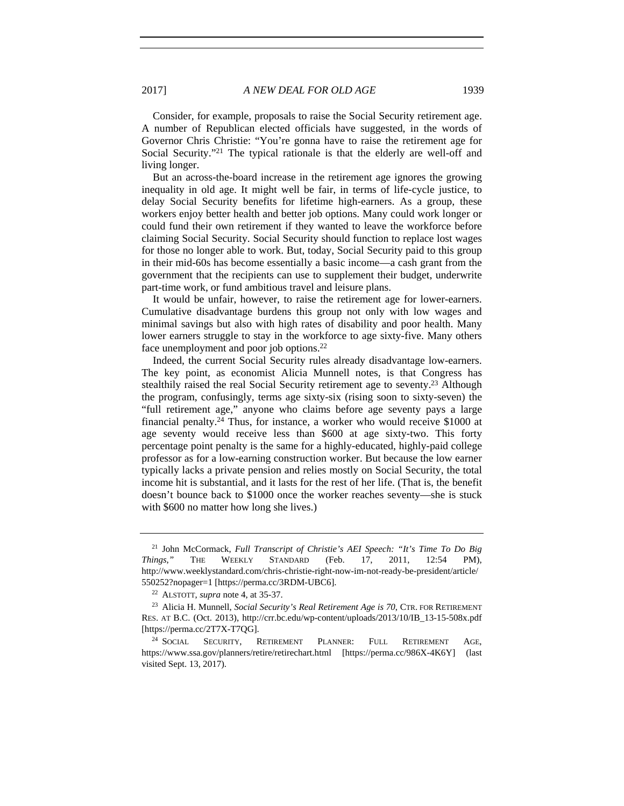Consider, for example, proposals to raise the Social Security retirement age. A number of Republican elected officials have suggested, in the words of Governor Chris Christie: "You're gonna have to raise the retirement age for Social Security."<sup>21</sup> The typical rationale is that the elderly are well-off and living longer.

But an across-the-board increase in the retirement age ignores the growing inequality in old age. It might well be fair, in terms of life-cycle justice, to delay Social Security benefits for lifetime high-earners. As a group, these workers enjoy better health and better job options. Many could work longer or could fund their own retirement if they wanted to leave the workforce before claiming Social Security. Social Security should function to replace lost wages for those no longer able to work. But, today, Social Security paid to this group in their mid-60s has become essentially a basic income—a cash grant from the government that the recipients can use to supplement their budget, underwrite part-time work, or fund ambitious travel and leisure plans.

It would be unfair, however, to raise the retirement age for lower-earners. Cumulative disadvantage burdens this group not only with low wages and minimal savings but also with high rates of disability and poor health. Many lower earners struggle to stay in the workforce to age sixty-five. Many others face unemployment and poor job options.22

Indeed, the current Social Security rules already disadvantage low-earners. The key point, as economist Alicia Munnell notes, is that Congress has stealthily raised the real Social Security retirement age to seventy.<sup>23</sup> Although the program, confusingly, terms age sixty-six (rising soon to sixty-seven) the "full retirement age," anyone who claims before age seventy pays a large financial penalty.24 Thus, for instance, a worker who would receive \$1000 at age seventy would receive less than \$600 at age sixty-two. This forty percentage point penalty is the same for a highly-educated, highly-paid college professor as for a low-earning construction worker. But because the low earner typically lacks a private pension and relies mostly on Social Security, the total income hit is substantial, and it lasts for the rest of her life. (That is, the benefit doesn't bounce back to \$1000 once the worker reaches seventy—she is stuck with \$600 no matter how long she lives.)

<sup>21</sup> John McCormack, *Full Transcript of Christie's AEI Speech: "It's Time To Do Big Things*,*"* THE WEEKLY STANDARD (Feb. 17, 2011, 12:54 PM), http://www.weeklystandard.com/chris-christie-right-now-im-not-ready-be-president/article/ 550252?nopager=1 [https://perma.cc/3RDM-UBC6]. 22 ALSTOTT, *supra* note 4, at 35-37.

<sup>23</sup> Alicia H. Munnell, *Social Security's Real Retirement Age is 70*, CTR. FOR RETIREMENT RES. AT B.C. (Oct. 2013), http://crr.bc.edu/wp-content/uploads/2013/10/IB\_13-15-508x.pdf [https://perma.cc/2T7X-T7QG].

<sup>24</sup> SOCIAL SECURITY, RETIREMENT PLANNER: FULL RETIREMENT AGE, https://www.ssa.gov/planners/retire/retirechart.html [https://perma.cc/986X-4K6Y] (last visited Sept. 13, 2017).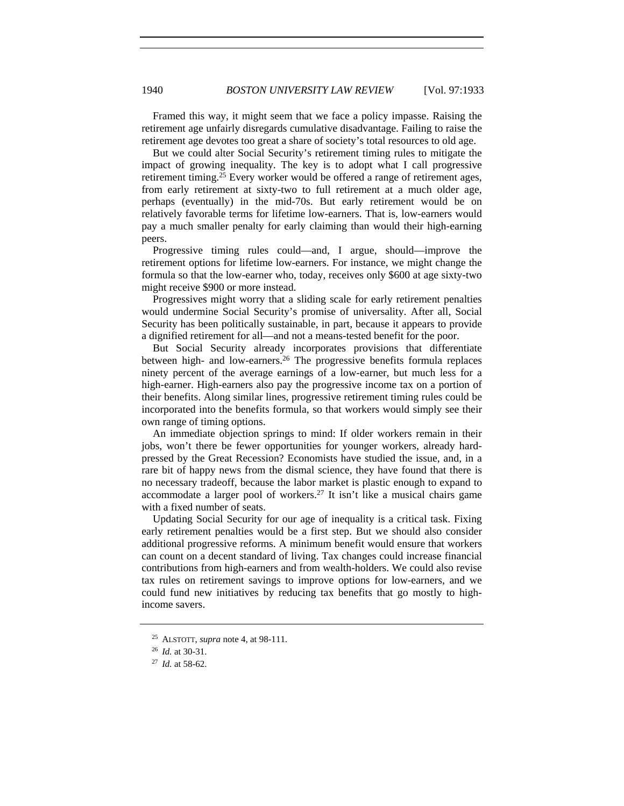Framed this way, it might seem that we face a policy impasse. Raising the retirement age unfairly disregards cumulative disadvantage. Failing to raise the retirement age devotes too great a share of society's total resources to old age.

But we could alter Social Security's retirement timing rules to mitigate the impact of growing inequality. The key is to adopt what I call progressive retirement timing.<sup>25</sup> Every worker would be offered a range of retirement ages, from early retirement at sixty-two to full retirement at a much older age, perhaps (eventually) in the mid-70s. But early retirement would be on relatively favorable terms for lifetime low-earners. That is, low-earners would pay a much smaller penalty for early claiming than would their high-earning peers.

Progressive timing rules could—and, I argue, should—improve the retirement options for lifetime low-earners. For instance, we might change the formula so that the low-earner who, today, receives only \$600 at age sixty-two might receive \$900 or more instead.

Progressives might worry that a sliding scale for early retirement penalties would undermine Social Security's promise of universality. After all, Social Security has been politically sustainable, in part, because it appears to provide a dignified retirement for all—and not a means-tested benefit for the poor.

But Social Security already incorporates provisions that differentiate between high- and low-earners.26 The progressive benefits formula replaces ninety percent of the average earnings of a low-earner, but much less for a high-earner. High-earners also pay the progressive income tax on a portion of their benefits. Along similar lines, progressive retirement timing rules could be incorporated into the benefits formula, so that workers would simply see their own range of timing options.

An immediate objection springs to mind: If older workers remain in their jobs, won't there be fewer opportunities for younger workers, already hardpressed by the Great Recession? Economists have studied the issue, and, in a rare bit of happy news from the dismal science, they have found that there is no necessary tradeoff, because the labor market is plastic enough to expand to accommodate a larger pool of workers.27 It isn't like a musical chairs game with a fixed number of seats.

Updating Social Security for our age of inequality is a critical task. Fixing early retirement penalties would be a first step. But we should also consider additional progressive reforms. A minimum benefit would ensure that workers can count on a decent standard of living. Tax changes could increase financial contributions from high-earners and from wealth-holders. We could also revise tax rules on retirement savings to improve options for low-earners, and we could fund new initiatives by reducing tax benefits that go mostly to highincome savers.

<sup>25</sup> ALSTOTT, *supra* note 4, at 98-111.

<sup>26</sup> *Id.* at 30-31.

<sup>27</sup> *Id.* at 58-62.